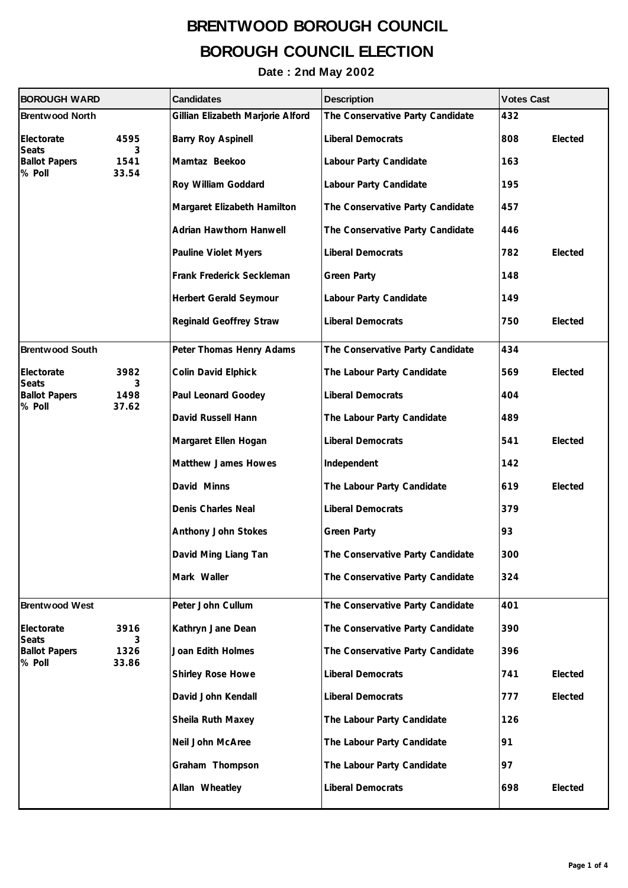| <b>BOROUGH WARD</b>                                          |                            | <b>Candidates</b>                 | <b>Description</b>               | <b>Votes Cast</b> |  |
|--------------------------------------------------------------|----------------------------|-----------------------------------|----------------------------------|-------------------|--|
| <b>Brentwood North</b>                                       |                            | Gillian Elizabeth Marjorie Alford | The Conservative Party Candidate | 432               |  |
| Electorate<br><b>Seats</b><br><b>Ballot Papers</b><br>% Poll | 4595<br>3                  | <b>Barry Roy Aspinell</b>         | <b>Liberal Democrats</b>         | 808<br>Elected    |  |
|                                                              | 1541<br>33.54              | Mamtaz Beekoo                     | Labour Party Candidate           | 163               |  |
|                                                              |                            | Roy William Goddard               | Labour Party Candidate           | 195               |  |
|                                                              |                            | Margaret Elizabeth Hamilton       | The Conservative Party Candidate | 457               |  |
|                                                              |                            | Adrian Hawthorn Hanwell           | The Conservative Party Candidate | 446               |  |
|                                                              |                            | <b>Pauline Violet Myers</b>       | <b>Liberal Democrats</b>         | 782<br>Elected    |  |
|                                                              |                            | Frank Frederick Seckleman         | <b>Green Party</b>               | 148               |  |
|                                                              |                            | Herbert Gerald Seymour            | Labour Party Candidate           | 149               |  |
|                                                              |                            | Reginald Geoffrey Straw           | <b>Liberal Democrats</b>         | Elected<br>750    |  |
| <b>Brentwood South</b>                                       |                            | Peter Thomas Henry Adams          | The Conservative Party Candidate | 434               |  |
| Electorate<br>Seats<br><b>Ballot Papers</b><br>% Poll        | 3982<br>3<br>1498<br>37.62 | Colin David Elphick               | The Labour Party Candidate       | 569<br>Elected    |  |
|                                                              |                            | Paul Leonard Goodey               | <b>Liberal Democrats</b>         | 404               |  |
|                                                              |                            | David Russell Hann                | The Labour Party Candidate       | 489               |  |
|                                                              |                            | Margaret Ellen Hogan              | <b>Liberal Democrats</b>         | Elected<br>541    |  |
|                                                              |                            | Matthew James Howes               | Independent                      | 142               |  |
|                                                              |                            | David Minns                       | The Labour Party Candidate       | 619<br>Elected    |  |
|                                                              |                            | Denis Charles Neal                | <b>Liberal Democrats</b>         | 379               |  |
|                                                              |                            | Anthony John Stokes               | <b>Green Party</b>               | 93                |  |
|                                                              |                            | David Ming Liang Tan              | The Conservative Party Candidate | 300               |  |
|                                                              |                            | Mark Waller                       | The Conservative Party Candidate | 324               |  |
| <b>Brentwood West</b>                                        |                            | Peter John Cullum                 | The Conservative Party Candidate | 401               |  |
| Electorate<br><b>Seats</b><br><b>Ballot Papers</b><br>% Poll | 3916<br>3<br>1326<br>33.86 | Kathryn Jane Dean                 | The Conservative Party Candidate | 390               |  |
|                                                              |                            | Joan Edith Holmes                 | The Conservative Party Candidate | 396               |  |
|                                                              |                            | Shirley Rose Howe                 | <b>Liberal Democrats</b>         | 741<br>Elected    |  |
|                                                              |                            | David John Kendall                | <b>Liberal Democrats</b>         | Elected<br>777    |  |
|                                                              |                            | Sheila Ruth Maxey                 | The Labour Party Candidate       | 126               |  |
|                                                              |                            | Neil John McAree                  | The Labour Party Candidate       | 91                |  |
|                                                              |                            | Graham Thompson                   | The Labour Party Candidate       | 97                |  |
|                                                              |                            | Allan Wheatley                    | <b>Liberal Democrats</b>         | 698<br>Elected    |  |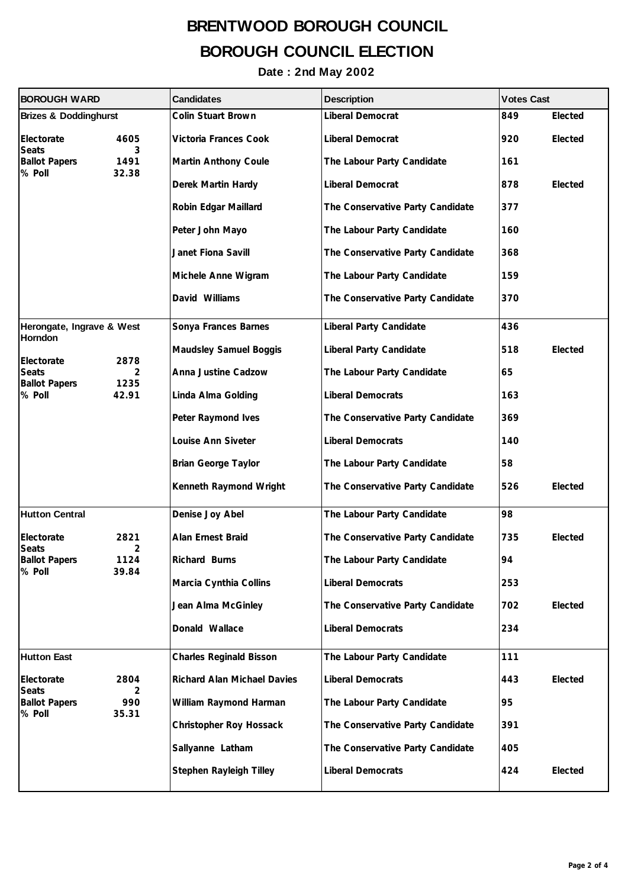| <b>BOROUGH WARD</b>                            |               | <b>Candidates</b>              | <b>Description</b>               | <b>Votes Cast</b> |         |
|------------------------------------------------|---------------|--------------------------------|----------------------------------|-------------------|---------|
| <b>Brizes &amp; Doddinghurst</b>               |               | Colin Stuart Brown             | Liberal Democrat                 | 849               | Elected |
| Electorate<br><b>Seats</b>                     | 4605<br>3     | Victoria Frances Cook          | Liberal Democrat                 | 920               | Elected |
| <b>Ballot Papers</b><br>% Poll                 | 1491<br>32.38 | Martin Anthony Coule           | The Labour Party Candidate       | 161               |         |
|                                                |               | Derek Martin Hardy             | Liberal Democrat                 | 878               | Elected |
|                                                |               | Robin Edgar Maillard           | The Conservative Party Candidate | 377               |         |
|                                                |               | Peter John Mayo                | The Labour Party Candidate       | 160               |         |
|                                                |               | Janet Fiona Savill             | The Conservative Party Candidate | 368               |         |
|                                                |               | Michele Anne Wigram            | The Labour Party Candidate       | 159               |         |
|                                                |               | David Williams                 | The Conservative Party Candidate | 370               |         |
| Herongate, Ingrave & West                      |               | Sonya Frances Barnes           | Liberal Party Candidate          | 436               |         |
| <b>Horndon</b><br>Electorate                   | 2878          | <b>Maudsley Samuel Boggis</b>  | Liberal Party Candidate          | 518               | Elected |
| <b>Seats</b><br><b>Ballot Papers</b>           | 2<br>1235     | Anna Justine Cadzow            | The Labour Party Candidate       | 65                |         |
| % Poll                                         | 42.91         | Linda Alma Golding             | <b>Liberal Democrats</b>         | 163               |         |
|                                                |               | Peter Raymond Ives             | The Conservative Party Candidate | 369               |         |
|                                                |               | Louise Ann Siveter             | <b>Liberal Democrats</b>         | 140               |         |
|                                                |               | <b>Brian George Taylor</b>     | The Labour Party Candidate       | 58                |         |
|                                                |               | Kenneth Raymond Wright         | The Conservative Party Candidate | 526               | Elected |
| <b>Hutton Central</b>                          |               | Denise Joy Abel                | The Labour Party Candidate       | 98                |         |
| Electorate<br>Seats                            | 2821<br>2     | Alan Ernest Braid              | The Conservative Party Candidate | 735               | Elected |
| <b>Ballot Papers</b><br>% Poll                 | 1124<br>39.84 | Richard Burns                  | The Labour Party Candidate       | 94                |         |
|                                                |               | Marcia Cynthia Collins         | <b>Liberal Democrats</b>         | 253               |         |
|                                                |               | Jean Alma McGinley             | The Conservative Party Candidate | 702               | Elected |
|                                                |               | Donald Wallace                 | <b>Liberal Democrats</b>         | 234               |         |
| <b>Hutton East</b>                             |               | <b>Charles Reginald Bisson</b> | The Labour Party Candidate       | 111               |         |
| Electorate                                     | 2804          | Richard Alan Michael Davies    | <b>Liberal Democrats</b>         | 443               | Elected |
| <b>Seats</b><br><b>Ballot Papers</b><br>% Poll | 2<br>990      | William Raymond Harman         | The Labour Party Candidate       | 95                |         |
|                                                | 35.31         | Christopher Roy Hossack        | The Conservative Party Candidate | 391               |         |
|                                                |               | Sallyanne Latham               | The Conservative Party Candidate | 405               |         |
|                                                |               | Stephen Rayleigh Tilley        | <b>Liberal Democrats</b>         | 424               | Elected |
|                                                |               |                                |                                  |                   |         |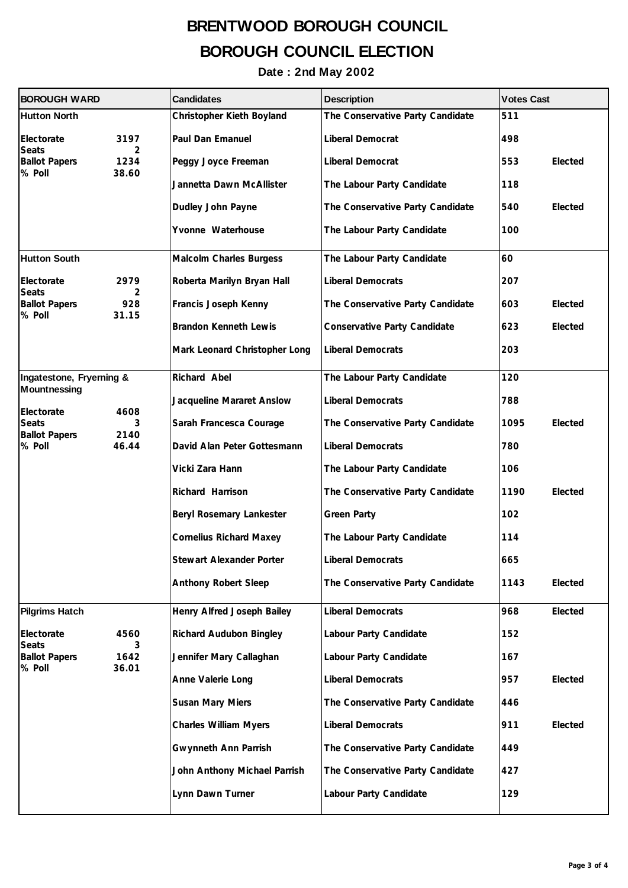| <b>BOROUGH WARD</b>                                          |                            | <b>Candidates</b>              | <b>Description</b>               | <b>Votes Cast</b> |         |
|--------------------------------------------------------------|----------------------------|--------------------------------|----------------------------------|-------------------|---------|
| <b>Hutton North</b>                                          |                            | Christopher Kieth Boyland      | The Conservative Party Candidate | 511               |         |
| Electorate<br><b>Seats</b><br><b>Ballot Papers</b><br>% Poll | 3197                       | Paul Dan Emanuel               | Liberal Democrat                 | 498               |         |
|                                                              | 2<br>1234<br>38.60         | Peggy Joyce Freeman            | Liberal Democrat                 | 553               | Elected |
|                                                              |                            | Jannetta Dawn McAllister       | The Labour Party Candidate       | 118               |         |
|                                                              |                            | Dudley John Payne              | The Conservative Party Candidate | 540               | Elected |
|                                                              |                            | Yvonne Waterhouse              | The Labour Party Candidate       | 100               |         |
| <b>Hutton South</b>                                          |                            | <b>Malcolm Charles Burgess</b> | The Labour Party Candidate       | 60                |         |
| Electorate                                                   | 2979                       | Roberta Marilyn Bryan Hall     | <b>Liberal Democrats</b>         | 207               |         |
| <b>Seats</b><br><b>Ballot Papers</b>                         | 2<br>928                   | Francis Joseph Kenny           | The Conservative Party Candidate | 603               | Elected |
| % Poll                                                       | 31.15                      | <b>Brandon Kenneth Lewis</b>   | Conservative Party Candidate     | 623               | Elected |
|                                                              |                            | Mark Leonard Christopher Long  | <b>Liberal Democrats</b>         | 203               |         |
| Ingatestone, Fryerning &                                     |                            | Richard Abel                   | The Labour Party Candidate       | 120               |         |
| <b>Mountnessing</b>                                          |                            | Jacqueline Mararet Anslow      | <b>Liberal Democrats</b>         | 788               |         |
| Electorate<br><b>Seats</b>                                   | 4608<br>3<br>2140<br>46.44 | Sarah Francesca Courage        | The Conservative Party Candidate | 1095              | Elected |
| <b>Ballot Papers</b><br>% Poll                               |                            | David Alan Peter Gottesmann    | <b>Liberal Democrats</b>         | 780               |         |
|                                                              |                            | Vicki Zara Hann                | The Labour Party Candidate       | 106               |         |
|                                                              |                            | Richard Harrison               | The Conservative Party Candidate | 1190              | Elected |
|                                                              |                            | Beryl Rosemary Lankester       | <b>Green Party</b>               | 102               |         |
|                                                              |                            | <b>Cornelius Richard Maxey</b> | The Labour Party Candidate       | 114               |         |
|                                                              |                            | Stewart Alexander Porter       | Liberal Democrats                | 665               |         |
|                                                              |                            | Anthony Robert Sleep           | The Conservative Party Candidate | 1143              | Elected |
| <b>Pilgrims Hatch</b>                                        |                            | Henry Alfred Joseph Bailey     | <b>Liberal Democrats</b>         | 968               | Elected |
| Electorate<br><b>Seats</b><br><b>Ballot Papers</b><br>% Poll | 4560                       | <b>Richard Audubon Bingley</b> | Labour Party Candidate           | 152               |         |
|                                                              | 3<br>1642<br>36.01         | Jennifer Mary Callaghan        | Labour Party Candidate           | 167               |         |
|                                                              |                            | Anne Valerie Long              | <b>Liberal Democrats</b>         | 957               | Elected |
|                                                              |                            | Susan Mary Miers               | The Conservative Party Candidate | 446               |         |
|                                                              |                            | <b>Charles William Myers</b>   | <b>Liberal Democrats</b>         | 911               | Elected |
|                                                              |                            | Gwynneth Ann Parrish           | The Conservative Party Candidate | 449               |         |
|                                                              |                            | John Anthony Michael Parrish   | The Conservative Party Candidate | 427               |         |
|                                                              |                            | Lynn Dawn Turner               | Labour Party Candidate           | 129               |         |